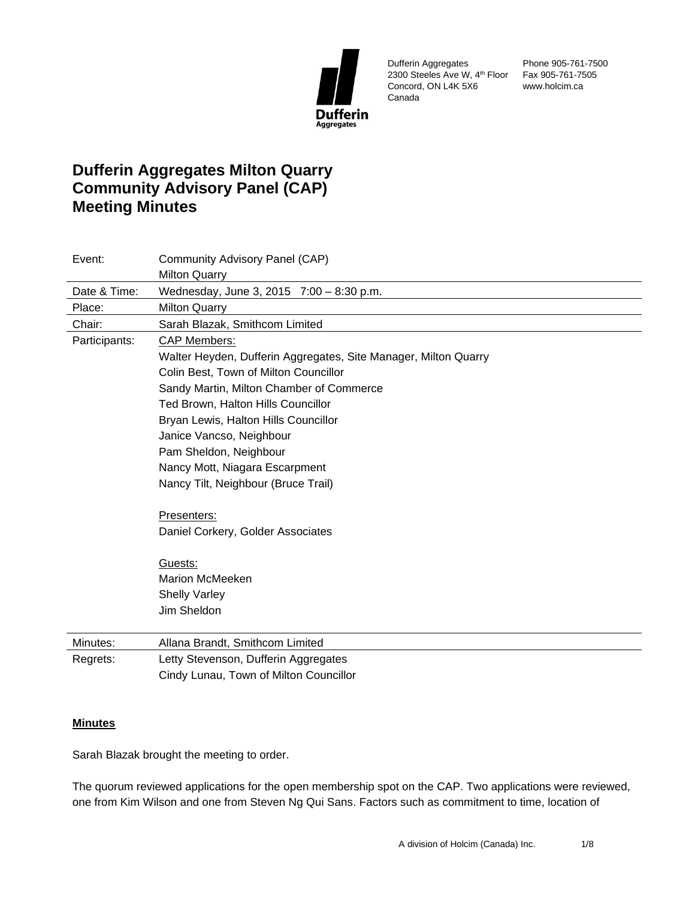

Dufferin Aggregates 2300 Steeles Ave W, 4th Floor Fax 905-761-7505 Concord, ON L4K 5X6 Canada

Phone 905-761-7500 www.holcim.ca

# **Dufferin Aggregates Milton Quarry Community Advisory Panel (CAP) Meeting Minutes**

| Event:        | Community Advisory Panel (CAP)                                  |
|---------------|-----------------------------------------------------------------|
|               | <b>Milton Quarry</b>                                            |
| Date & Time:  | Wednesday, June 3, 2015 7:00 - 8:30 p.m.                        |
| Place:        | <b>Milton Quarry</b>                                            |
| Chair:        | Sarah Blazak, Smithcom Limited                                  |
| Participants: | <b>CAP Members:</b>                                             |
|               | Walter Heyden, Dufferin Aggregates, Site Manager, Milton Quarry |
|               | Colin Best, Town of Milton Councillor                           |
|               | Sandy Martin, Milton Chamber of Commerce                        |
|               | Ted Brown, Halton Hills Councillor                              |
|               | Bryan Lewis, Halton Hills Councillor                            |
|               | Janice Vancso, Neighbour                                        |
|               | Pam Sheldon, Neighbour                                          |
|               | Nancy Mott, Niagara Escarpment                                  |
|               | Nancy Tilt, Neighbour (Bruce Trail)                             |
|               | Presenters:                                                     |
|               | Daniel Corkery, Golder Associates                               |
|               | Guests:                                                         |
|               | <b>Marion McMeeken</b>                                          |
|               | <b>Shelly Varley</b>                                            |
|               | Jim Sheldon                                                     |
| Minutes:      | Allana Brandt, Smithcom Limited                                 |
| Regrets:      | Letty Stevenson, Dufferin Aggregates                            |
|               | Cindy Lunau, Town of Milton Councillor                          |

# **Minutes**

Sarah Blazak brought the meeting to order.

The quorum reviewed applications for the open membership spot on the CAP. Two applications were reviewed, one from Kim Wilson and one from Steven Ng Qui Sans. Factors such as commitment to time, location of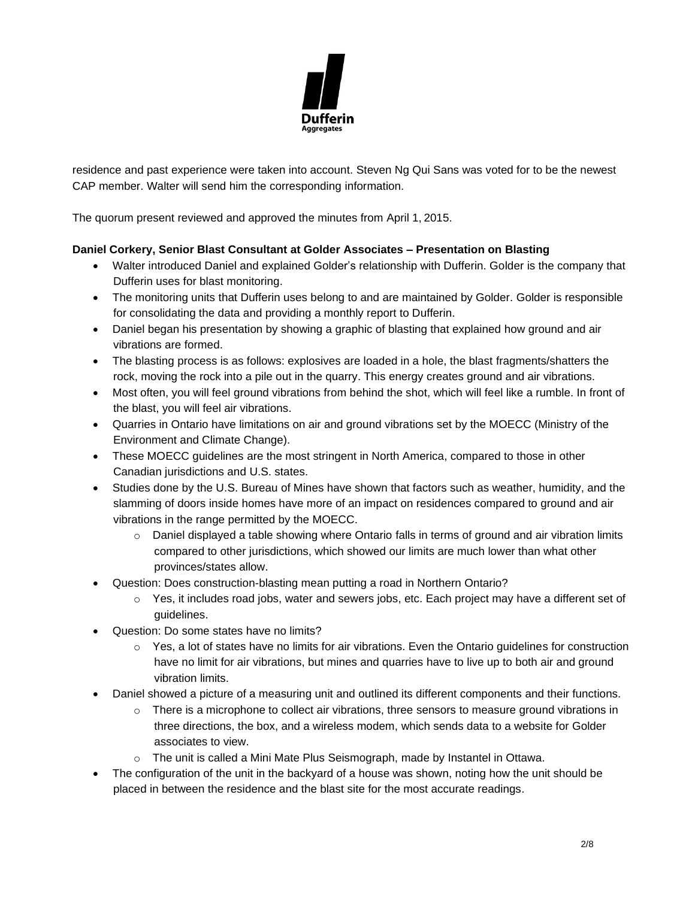

residence and past experience were taken into account. Steven Ng Qui Sans was voted for to be the newest CAP member. Walter will send him the corresponding information.

The quorum present reviewed and approved the minutes from April 1, 2015.

### **Daniel Corkery, Senior Blast Consultant at Golder Associates – Presentation on Blasting**

- Walter introduced Daniel and explained Golder's relationship with Dufferin. Golder is the company that Dufferin uses for blast monitoring.
- The monitoring units that Dufferin uses belong to and are maintained by Golder. Golder is responsible for consolidating the data and providing a monthly report to Dufferin.
- Daniel began his presentation by showing a graphic of blasting that explained how ground and air vibrations are formed.
- The blasting process is as follows: explosives are loaded in a hole, the blast fragments/shatters the rock, moving the rock into a pile out in the quarry. This energy creates ground and air vibrations.
- Most often, you will feel ground vibrations from behind the shot, which will feel like a rumble. In front of the blast, you will feel air vibrations.
- Quarries in Ontario have limitations on air and ground vibrations set by the MOECC (Ministry of the Environment and Climate Change).
- These MOECC quidelines are the most stringent in North America, compared to those in other Canadian jurisdictions and U.S. states.
- Studies done by the U.S. Bureau of Mines have shown that factors such as weather, humidity, and the slamming of doors inside homes have more of an impact on residences compared to ground and air vibrations in the range permitted by the MOECC.
	- $\circ$  Daniel displayed a table showing where Ontario falls in terms of ground and air vibration limits compared to other jurisdictions, which showed our limits are much lower than what other provinces/states allow.
- Question: Does construction-blasting mean putting a road in Northern Ontario?
	- $\circ$  Yes, it includes road jobs, water and sewers jobs, etc. Each project may have a different set of guidelines.
- Question: Do some states have no limits?
	- $\circ$  Yes, a lot of states have no limits for air vibrations. Even the Ontario guidelines for construction have no limit for air vibrations, but mines and quarries have to live up to both air and ground vibration limits.
- Daniel showed a picture of a measuring unit and outlined its different components and their functions.
	- $\circ$  There is a microphone to collect air vibrations, three sensors to measure ground vibrations in three directions, the box, and a wireless modem, which sends data to a website for Golder associates to view.
	- $\circ$  The unit is called a Mini Mate Plus Seismograph, made by Instantel in Ottawa.
- The configuration of the unit in the backyard of a house was shown, noting how the unit should be placed in between the residence and the blast site for the most accurate readings.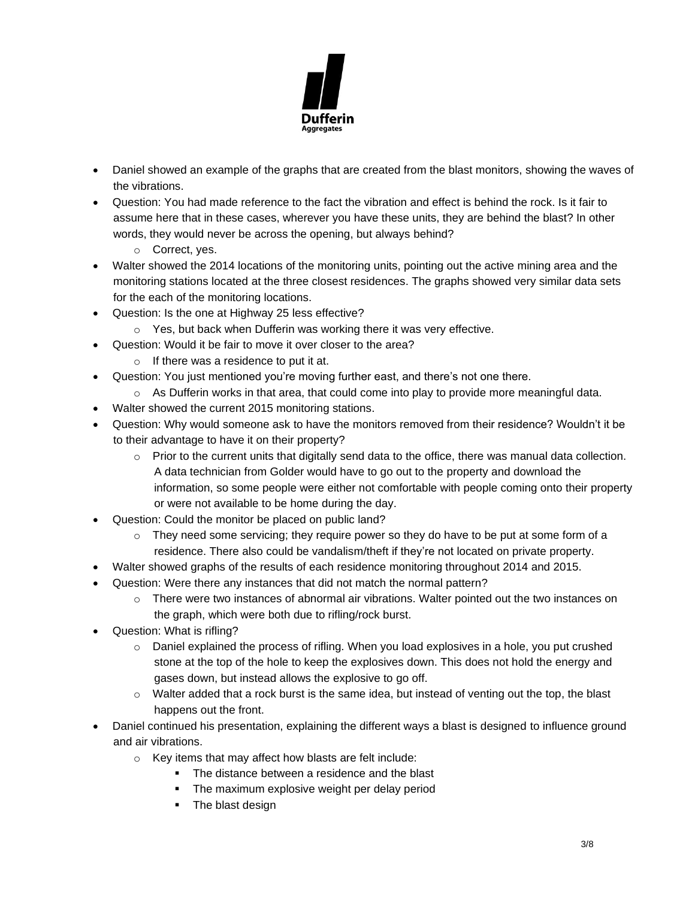

- Daniel showed an example of the graphs that are created from the blast monitors, showing the waves of the vibrations.
- Question: You had made reference to the fact the vibration and effect is behind the rock. Is it fair to assume here that in these cases, wherever you have these units, they are behind the blast? In other words, they would never be across the opening, but always behind?
	- o Correct, yes.
- Walter showed the 2014 locations of the monitoring units, pointing out the active mining area and the monitoring stations located at the three closest residences. The graphs showed very similar data sets for the each of the monitoring locations.
- Question: Is the one at Highway 25 less effective?
	- o Yes, but back when Dufferin was working there it was very effective.
- Question: Would it be fair to move it over closer to the area?
	- o If there was a residence to put it at.
- Question: You just mentioned you're moving further east, and there's not one there.
	- $\circ$  As Dufferin works in that area, that could come into play to provide more meaningful data.
- Walter showed the current 2015 monitoring stations.
- Question: Why would someone ask to have the monitors removed from their residence? Wouldn't it be to their advantage to have it on their property?
	- $\circ$  Prior to the current units that digitally send data to the office, there was manual data collection. A data technician from Golder would have to go out to the property and download the information, so some people were either not comfortable with people coming onto their property or were not available to be home during the day.
- Question: Could the monitor be placed on public land?
	- $\circ$  They need some servicing; they require power so they do have to be put at some form of a residence. There also could be vandalism/theft if they're not located on private property.
- Walter showed graphs of the results of each residence monitoring throughout 2014 and 2015.
- Question: Were there any instances that did not match the normal pattern?
	- $\circ$  There were two instances of abnormal air vibrations. Walter pointed out the two instances on the graph, which were both due to rifling/rock burst.
- Question: What is rifling?
	- $\circ$  Daniel explained the process of rifling. When you load explosives in a hole, you put crushed stone at the top of the hole to keep the explosives down. This does not hold the energy and gases down, but instead allows the explosive to go off.
	- $\circ$  Walter added that a rock burst is the same idea, but instead of venting out the top, the blast happens out the front.
- Daniel continued his presentation, explaining the different ways a blast is designed to influence ground and air vibrations.
	- $\circ$  Key items that may affect how blasts are felt include:
		- The distance between a residence and the blast
		- **•** The maximum explosive weight per delay period
		- **•** The blast design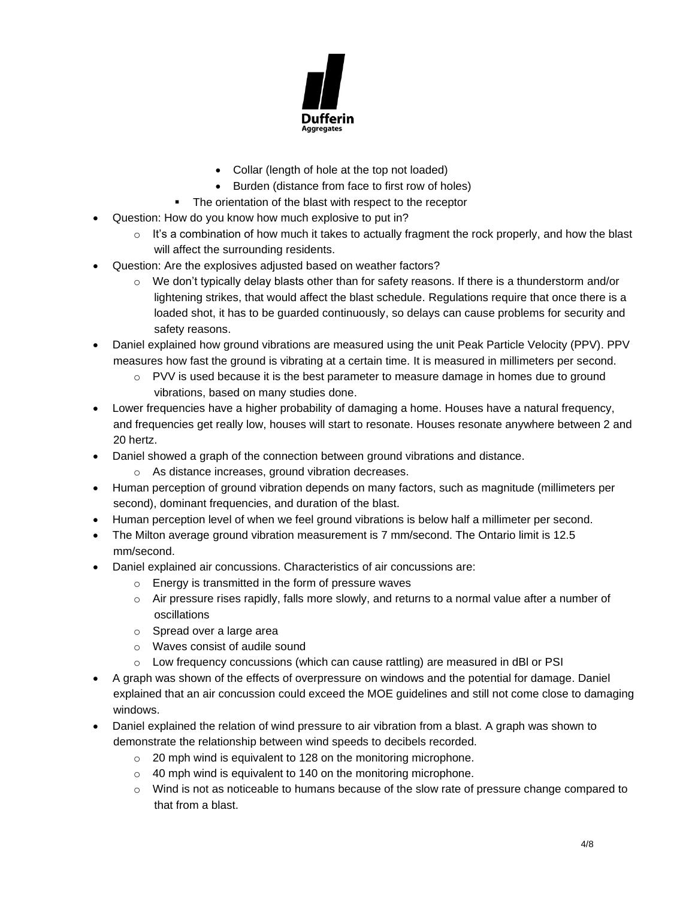

- Collar (length of hole at the top not loaded)
- Burden (distance from face to first row of holes)
- The orientation of the blast with respect to the receptor
- Question: How do you know how much explosive to put in?
	- $\circ$  It's a combination of how much it takes to actually fragment the rock properly, and how the blast will affect the surrounding residents.
- Question: Are the explosives adjusted based on weather factors?
	- $\circ$  We don't typically delay blasts other than for safety reasons. If there is a thunderstorm and/or lightening strikes, that would affect the blast schedule. Regulations require that once there is a loaded shot, it has to be guarded continuously, so delays can cause problems for security and safety reasons.
- Daniel explained how ground vibrations are measured using the unit Peak Particle Velocity (PPV). PPV measures how fast the ground is vibrating at a certain time. It is measured in millimeters per second.
	- $\circ$  PVV is used because it is the best parameter to measure damage in homes due to ground vibrations, based on many studies done.
- Lower frequencies have a higher probability of damaging a home. Houses have a natural frequency, and frequencies get really low, houses will start to resonate. Houses resonate anywhere between 2 and 20 hertz.
- Daniel showed a graph of the connection between ground vibrations and distance.
	- o As distance increases, ground vibration decreases.
- Human perception of ground vibration depends on many factors, such as magnitude (millimeters per second), dominant frequencies, and duration of the blast.
- Human perception level of when we feel ground vibrations is below half a millimeter per second.
- The Milton average ground vibration measurement is 7 mm/second. The Ontario limit is 12.5 mm/second.
- Daniel explained air concussions. Characteristics of air concussions are:
	- o Energy is transmitted in the form of pressure waves
	- $\circ$  Air pressure rises rapidly, falls more slowly, and returns to a normal value after a number of oscillations
	- o Spread over a large area
	- o Waves consist of audile sound
	- $\circ$  Low frequency concussions (which can cause rattling) are measured in dBI or PSI
- A graph was shown of the effects of overpressure on windows and the potential for damage. Daniel explained that an air concussion could exceed the MOE guidelines and still not come close to damaging windows.
- Daniel explained the relation of wind pressure to air vibration from a blast. A graph was shown to demonstrate the relationship between wind speeds to decibels recorded.
	- o 20 mph wind is equivalent to 128 on the monitoring microphone.
	- o 40 mph wind is equivalent to 140 on the monitoring microphone.
	- $\circ$  Wind is not as noticeable to humans because of the slow rate of pressure change compared to that from a blast.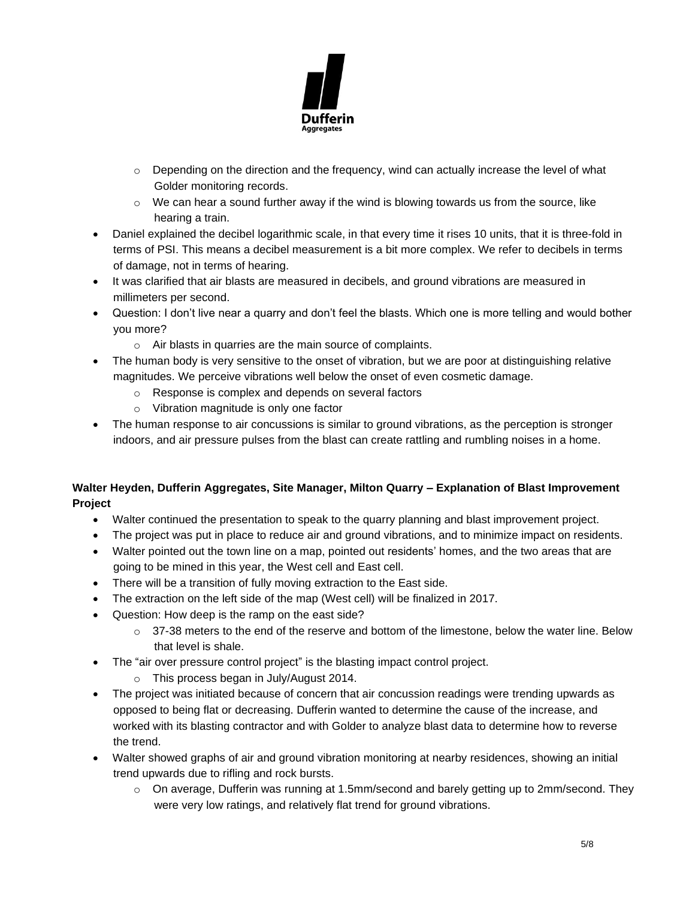

- $\circ$  Depending on the direction and the frequency, wind can actually increase the level of what Golder monitoring records.
- $\circ$  We can hear a sound further away if the wind is blowing towards us from the source, like hearing a train.
- Daniel explained the decibel logarithmic scale, in that every time it rises 10 units, that it is three-fold in terms of PSI. This means a decibel measurement is a bit more complex. We refer to decibels in terms of damage, not in terms of hearing.
- It was clarified that air blasts are measured in decibels, and ground vibrations are measured in millimeters per second.
- Question: I don't live near a quarry and don't feel the blasts. Which one is more telling and would bother you more?
	- o Air blasts in quarries are the main source of complaints.
- The human body is very sensitive to the onset of vibration, but we are poor at distinguishing relative magnitudes. We perceive vibrations well below the onset of even cosmetic damage.
	- o Response is complex and depends on several factors
	- o Vibration magnitude is only one factor
- The human response to air concussions is similar to ground vibrations, as the perception is stronger indoors, and air pressure pulses from the blast can create rattling and rumbling noises in a home.

# **Walter Heyden, Dufferin Aggregates, Site Manager, Milton Quarry – Explanation of Blast Improvement Project**

- Walter continued the presentation to speak to the quarry planning and blast improvement project.
- The project was put in place to reduce air and ground vibrations, and to minimize impact on residents.
- Walter pointed out the town line on a map, pointed out residents' homes, and the two areas that are going to be mined in this year, the West cell and East cell.
- There will be a transition of fully moving extraction to the East side.
- The extraction on the left side of the map (West cell) will be finalized in 2017.
- Question: How deep is the ramp on the east side?
	- $\circ$  37-38 meters to the end of the reserve and bottom of the limestone, below the water line. Below that level is shale.
- The "air over pressure control project" is the blasting impact control project.
	- o This process began in July/August 2014.
- The project was initiated because of concern that air concussion readings were trending upwards as opposed to being flat or decreasing. Dufferin wanted to determine the cause of the increase, and worked with its blasting contractor and with Golder to analyze blast data to determine how to reverse the trend.
- Walter showed graphs of air and ground vibration monitoring at nearby residences, showing an initial trend upwards due to rifling and rock bursts.
	- o On average, Dufferin was running at 1.5mm/second and barely getting up to 2mm/second. They were very low ratings, and relatively flat trend for ground vibrations.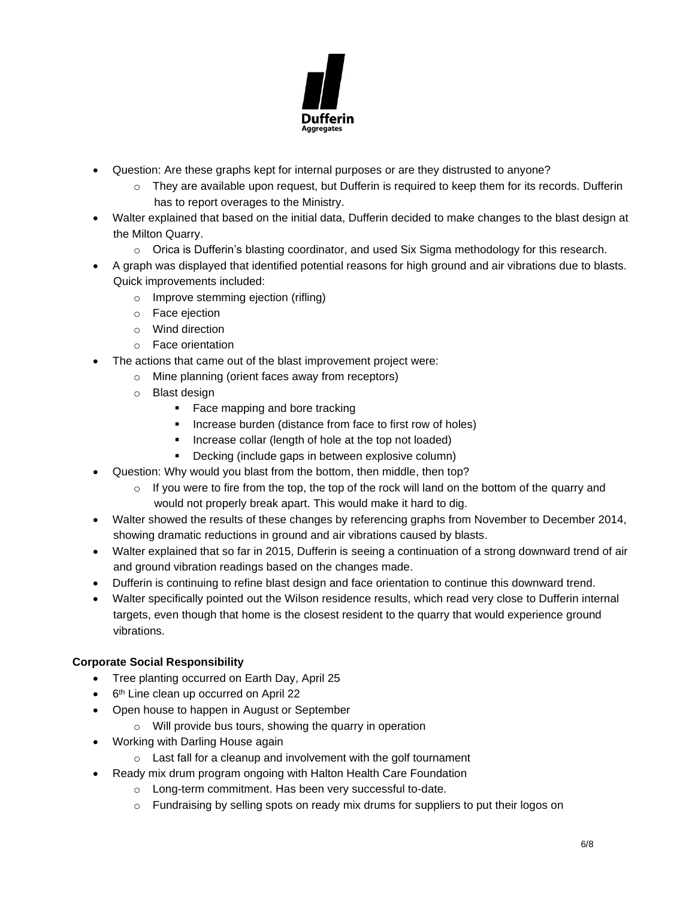

- Question: Are these graphs kept for internal purposes or are they distrusted to anyone?
	- $\circ$  They are available upon request, but Dufferin is required to keep them for its records. Dufferin has to report overages to the Ministry.
- Walter explained that based on the initial data, Dufferin decided to make changes to the blast design at the Milton Quarry.
	- $\circ$  Orica is Dufferin's blasting coordinator, and used Six Sigma methodology for this research.
- A graph was displayed that identified potential reasons for high ground and air vibrations due to blasts. Quick improvements included:
	- o Improve stemming ejection (rifling)
	- o Face ejection
	- o Wind direction
	- o Face orientation
- The actions that came out of the blast improvement project were:
	- o Mine planning (orient faces away from receptors)
	- o Blast design
		- Face mapping and bore tracking
		- Increase burden (distance from face to first row of holes)
		- Increase collar (length of hole at the top not loaded)
		- Decking (include gaps in between explosive column)
- Question: Why would you blast from the bottom, then middle, then top?
	- $\circ$  If you were to fire from the top, the top of the rock will land on the bottom of the quarry and would not properly break apart. This would make it hard to dig.
- Walter showed the results of these changes by referencing graphs from November to December 2014, showing dramatic reductions in ground and air vibrations caused by blasts.
- Walter explained that so far in 2015, Dufferin is seeing a continuation of a strong downward trend of air and ground vibration readings based on the changes made.
- Dufferin is continuing to refine blast design and face orientation to continue this downward trend.
- Walter specifically pointed out the Wilson residence results, which read very close to Dufferin internal targets, even though that home is the closest resident to the quarry that would experience ground vibrations.

# **Corporate Social Responsibility**

- Tree planting occurred on Earth Day, April 25
- 6<sup>th</sup> Line clean up occurred on April 22
- Open house to happen in August or September
	- o Will provide bus tours, showing the quarry in operation
- Working with Darling House again
	- $\circ$  Last fall for a cleanup and involvement with the golf tournament
- Ready mix drum program ongoing with Halton Health Care Foundation
	- o Long-term commitment. Has been very successful to-date.
	- $\circ$  Fundraising by selling spots on ready mix drums for suppliers to put their logos on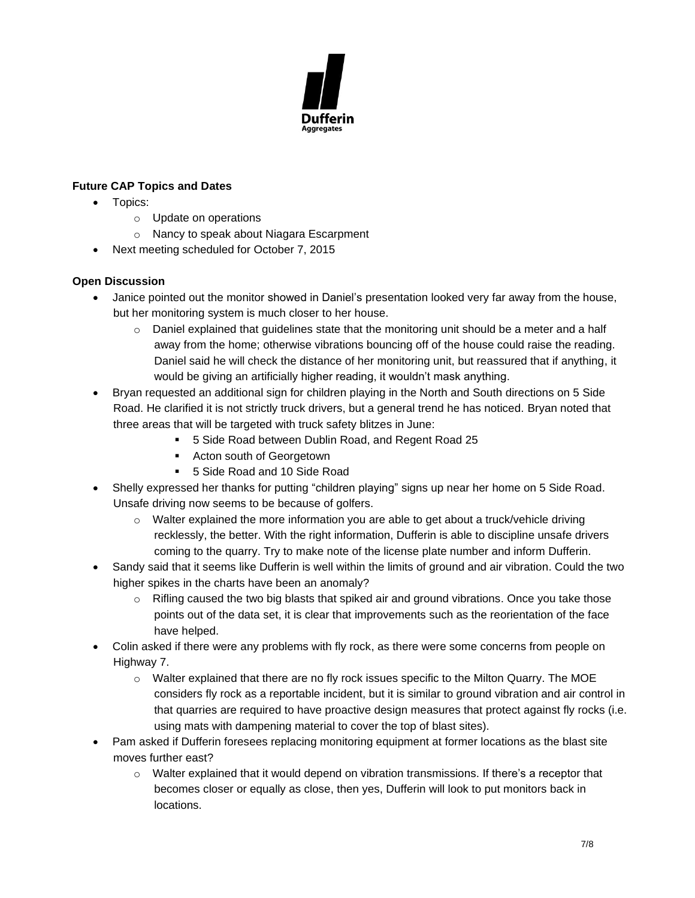

## **Future CAP Topics and Dates**

- Topics:
	- o Update on operations
	- o Nancy to speak about Niagara Escarpment
- Next meeting scheduled for October 7, 2015

#### **Open Discussion**

- Janice pointed out the monitor showed in Daniel's presentation looked very far away from the house, but her monitoring system is much closer to her house.
	- $\circ$  Daniel explained that guidelines state that the monitoring unit should be a meter and a half away from the home; otherwise vibrations bouncing off of the house could raise the reading. Daniel said he will check the distance of her monitoring unit, but reassured that if anything, it would be giving an artificially higher reading, it wouldn't mask anything.
- Bryan requested an additional sign for children playing in the North and South directions on 5 Side Road. He clarified it is not strictly truck drivers, but a general trend he has noticed. Bryan noted that three areas that will be targeted with truck safety blitzes in June:
	- 5 Side Road between Dublin Road, and Regent Road 25
	- Acton south of Georgetown
	- 5 Side Road and 10 Side Road
- Shelly expressed her thanks for putting "children playing" signs up near her home on 5 Side Road. Unsafe driving now seems to be because of golfers.
	- $\circ$  Walter explained the more information you are able to get about a truck/vehicle driving recklessly, the better. With the right information, Dufferin is able to discipline unsafe drivers coming to the quarry. Try to make note of the license plate number and inform Dufferin.
- Sandy said that it seems like Dufferin is well within the limits of ground and air vibration. Could the two higher spikes in the charts have been an anomaly?
	- $\circ$  Rifling caused the two big blasts that spiked air and ground vibrations. Once you take those points out of the data set, it is clear that improvements such as the reorientation of the face have helped.
- Colin asked if there were any problems with fly rock, as there were some concerns from people on Highway 7.
	- o Walter explained that there are no fly rock issues specific to the Milton Quarry. The MOE considers fly rock as a reportable incident, but it is similar to ground vibration and air control in that quarries are required to have proactive design measures that protect against fly rocks (i.e. using mats with dampening material to cover the top of blast sites).
- Pam asked if Dufferin foresees replacing monitoring equipment at former locations as the blast site moves further east?
	- $\circ$  Walter explained that it would depend on vibration transmissions. If there's a receptor that becomes closer or equally as close, then yes, Dufferin will look to put monitors back in locations.